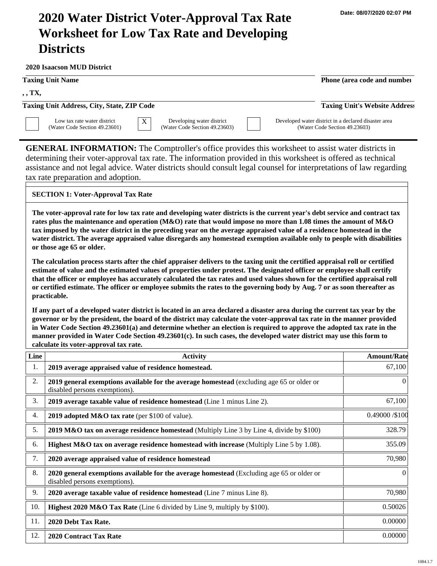# **2020 Water District Voter-Approval Tax Rate Worksheet for Low Tax Rate and Developing Districts**

**2020 Isaacson MUD District**

#### **Taxing Unit Name Phone (area code and number Phone (area code and number**

**, , TX,** 

**Taxing Unit Address, City, State, ZIP Code Taxing Unit's Website Address**



Low tax rate water district (Water Code Section 49.23601)  $\overline{X}$  Developing water district (Water Code Section 49.23603) Developed water district in a declared disaster area (Water Code Section 49.23603)

**GENERAL INFORMATION:** The Comptroller's office provides this worksheet to assist water districts in determining their voter-approval tax rate. The information provided in this worksheet is offered as technical assistance and not legal advice. Water districts should consult legal counsel for interpretations of law regarding tax rate preparation and adoption.

## **SECTION 1: Voter-Approval Tax Rate**

**The voter-approval rate for low tax rate and developing water districts is the current year's debt service and contract tax rates plus the maintenance and operation (M&O) rate that would impose no more than 1.08 times the amount of M&O tax imposed by the water district in the preceding year on the average appraised value of a residence homestead in the water district. The average appraised value disregards any homestead exemption available only to people with disabilities or those age 65 or older.**

**The calculation process starts after the chief appraiser delivers to the taxing unit the certified appraisal roll or certified estimate of value and the estimated values of properties under protest. The designated officer or employee shall certify that the officer or employee has accurately calculated the tax rates and used values shown for the certified appraisal roll or certified estimate. The officer or employee submits the rates to the governing body by Aug. 7 or as soon thereafter as practicable.**

**If any part of a developed water district is located in an area declared a disaster area during the current tax year by the governor or by the president, the board of the district may calculate the voter-approval tax rate in the manner provided in Water Code Section 49.23601(a) and determine whether an election is required to approve the adopted tax rate in the manner provided in Water Code Section 49.23601(c). In such cases, the developed water district may use this form to calculate its voter-approval tax rate.**

| Line | <b>Activity</b>                                                                                                            | <b>Amount/Rate</b> |
|------|----------------------------------------------------------------------------------------------------------------------------|--------------------|
| 1.   | 2019 average appraised value of residence homestead.                                                                       | 67,100             |
| 2.   | 2019 general exemptions available for the average homestead (excluding age 65 or older or<br>disabled persons exemptions). | $\theta$           |
| 3.   | 2019 average taxable value of residence homestead (Line 1 minus Line 2).                                                   | 67,100             |
| 4.   | 2019 adopted M&O tax rate (per \$100 of value).                                                                            | 0.49000 / \$100    |
| 5.   | 2019 M&O tax on average residence homestead (Multiply Line 3 by Line 4, divide by \$100)                                   | 328.79             |
| 6.   | Highest M&O tax on average residence homestead with increase (Multiply Line 5 by 1.08).                                    | 355.09             |
| 7.   | 2020 average appraised value of residence homestead                                                                        | 70,980             |
| 8.   | 2020 general exemptions available for the average homestead (Excluding age 65 or older or<br>disabled persons exemptions). | $\theta$           |
| 9.   | 2020 average taxable value of residence homestead (Line 7 minus Line 8).                                                   | 70,980             |
| 10.  | Highest 2020 M&O Tax Rate (Line 6 divided by Line 9, multiply by \$100).                                                   | 0.50026            |
| 11.  | 2020 Debt Tax Rate.                                                                                                        | 0.00000            |
| 12.  | <b>2020 Contract Tax Rate</b>                                                                                              | 0.00000            |